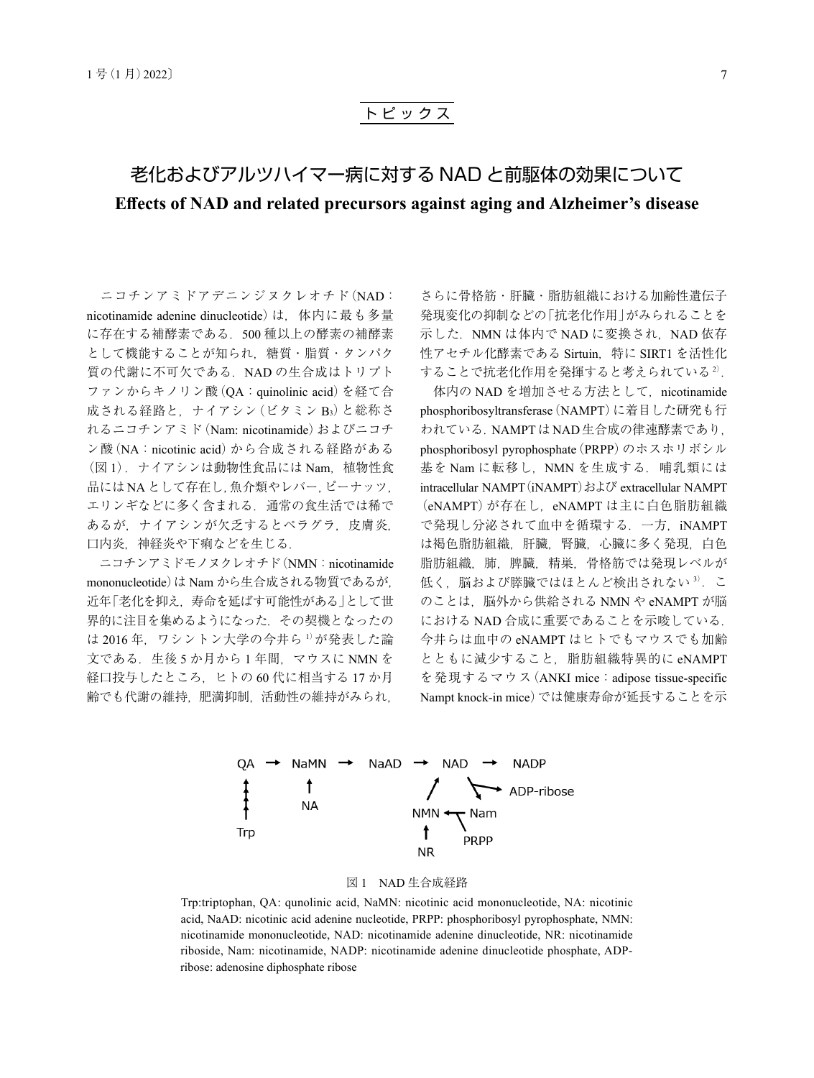## ト ピ ッ ク ス

# 老化およびアルツハイマー病に対する NAD と前駆体の効果について **Effects of NAD and related precursors against aging and Alzheimer's disease**

ニコチンアミドアデニンジヌクレオチド(NAD: nicotinamide adenine dinucleotide)は,体内に最も多量 に存在する補酵素である.500 種以上の酵素の補酵素 として機能することが知られ,糖質・脂質・タンパク 質の代謝に不可欠である. NAD の生合成はトリプト ファンからキノリン酸(QA:quinolinic acid)を経て合 成される経路と,ナイアシン(ビタミン B3)と総称さ れるニコチンアミド(Nam: nicotinamide)およびニコチ ン酸(NA:nicotinic acid)から合成される経路がある (図1). ナイアシンは動物性食品には Nam. 植物性食 品には NA として存在し, 魚介類やレバー, ピーナッツ, エリンギなどに多く含まれる.通常の食生活では稀で あるが、ナイアシンが欠乏するとペラグラ,皮膚炎, 口内炎,神経炎や下痢などを生じる.

ニコチンアミドモノヌクレオチド(NMN:nicotinamide mononucleotide)は Nam から生合成される物質であるが, 近年「老化を抑え,寿命を延ばす可能性がある」として世 界的に注目を集めるようになった.その契機となったの は 2016年、ワシントン大学の今井ら 1が発表した論 文である. 生後 5 か月から 1 年間, マウスに NMN を 経口投与したところ,ヒトの 60 代に相当する 17 か月 齢でも代謝の維持,肥満抑制,活動性の維持がみられ,

さらに骨格筋・肝臓・脂肪組織における加齢性遺伝子 発現変化の抑制などの「抗老化作用」がみられることを 示した. NMN は体内で NAD に変換され, NAD 依存 性アセチル化酵素である Sirtuin, 特に SIRT1 を活性化 することで抗老化作用を発揮すると考えられている<sup>2)</sup>.

体内の NAD を増加させる方法として. nicotinamide phosphoribosyltransferase(NAMPT)に着目した研究も行 われている.NAMPTはNAD生合成の律速酵素であり, phosphoribosyl pyrophosphate(PRPP)のホスホリボシル 基を Nam に転移し、NMN を生成する. 哺乳類には intracellular NAMPT (iNAMPT) および extracellular NAMPT (eNAMPT)が存在し,eNAMPT は主に白色脂肪組織 で発現し分泌されて血中を循環する.一方,iNAMPT は褐色脂肪組織,肝臓,腎臓,心臓に多く発現,白色 脂肪組織, 肺, 脾臓, 精巣, 骨格筋では発現レベルが 低く、脳および膵臓ではほとんど検出されない<sup>3)</sup>. こ のことは、脳外から供給される NMN や eNAMPT が脳 における NAD 合成に重要であることを示唆している. 今井らは血中の eNAMPT はヒトでもマウスでも加齢 とともに減少すること,脂肪組織特異的に eNAMPT を発現するマウス (ANKI mice: adipose tissue-specific Nampt knock-in mice)では健康寿命が延長することを示



#### 図 1 NAD 生合成経路

Trp:triptophan, QA: qunolinic acid, NaMN: nicotinic acid mononucleotide, NA: nicotinic acid, NaAD: nicotinic acid adenine nucleotide, PRPP: phosphoribosyl pyrophosphate, NMN: nicotinamide mononucleotide, NAD: nicotinamide adenine dinucleotide, NR: nicotinamide riboside, Nam: nicotinamide, NADP: nicotinamide adenine dinucleotide phosphate, ADPribose: adenosine diphosphate ribose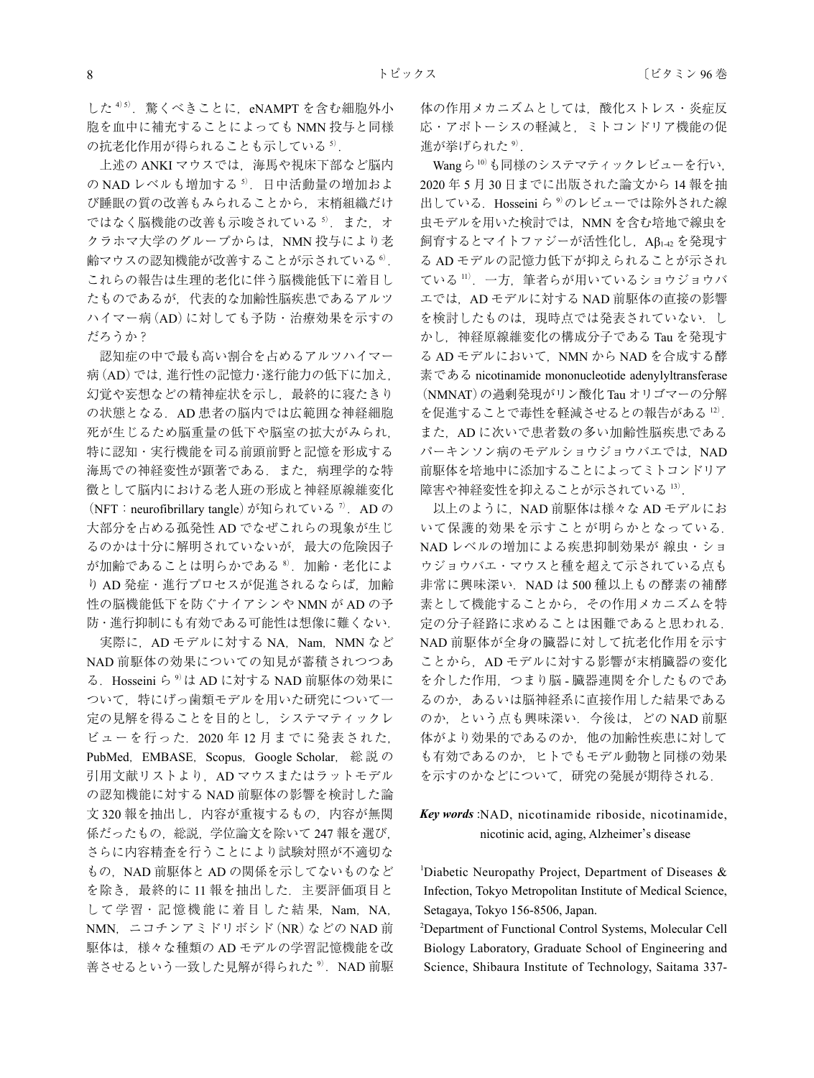した 4)5). 驚くべきことに、eNAMPT を含む細胞外小 胞を血中に補充することによっても NMN 投与と同様 の抗老化作用が得られることも示している5).

上述の ANKI マウスでは、海馬や視床下部など脳内 の NAD レベルも増加する<sup>5</sup>. 日中活動量の増加およ び睡眠の質の改善もみられることから,末梢組織だけ ではなく脳機能の改善も示唆されている5). また、オ クラホマ大学のグループからは、NMN 投与により老 齢マウスの認知機能が改善することが示されている<sup>6)</sup>. これらの報告は生理的老化に伴う脳機能低下に着目し たものであるが,代表的な加齢性脳疾患であるアルツ ハイマー病(AD)に対しても予防・治療効果を示すの だろうか?

認知症の中で最も高い割合を占めるアルツハイマー 病(AD)では,進行性の記憶力・遂行能力の低下に加え, 幻覚や妄想などの精神症状を示し,最終的に寝たきり の状態となる.AD 患者の脳内では広範囲な神経細胞 死が生じるため脳重量の低下や脳室の拡大がみられ, 特に認知・実行機能を司る前頭前野と記憶を形成する 海馬での神経変性が顕著である. また、病理学的な特 徴として脳内における老人班の形成と神経原線維変化 (NFT: neurofibrillary tangle)が知られている<sup>7</sup>. AD の 大部分を占める孤発性 AD でなぜこれらの現象が生じ るのかは十分に解明されていないが,最大の危険因子 が加齢であることは明らかである<sup>8</sup>. 加齢・老化によ り AD 発症·進行プロセスが促進されるならば、加齢 性の脳機能低下を防ぐナイアシンや NMN が AD の予 防・進行抑制にも有効である可能性は想像に難くない.

実際に、AD モデルに対する NA, Nam, NMN など NAD 前駆体の効果についての知見が蓄積されつつあ る. Hosseini ら<sup>9)</sup>は AD に対する NAD 前駆体の効果に ついて,特にげっ歯類モデルを用いた研究について一 定の見解を得ることを目的とし,システマティックレ ビューを行った.2020 年 12 月までに発表された, PubMed, EMBASE, Scopus, Google Scholar, 総説の 引用文献リストより、AD マウスまたはラットモデル の認知機能に対する NAD 前駆体の影響を検討した論 文 320 報を抽出し、内容が重複するもの、内容が無関 係だったもの,総説,学位論文を除いて 247 報を選び, さらに内容精査を行うことにより試験対照が不適切な もの, NAD 前駆体と AD の関係を示してないものなど を除き、最終的に11 報を抽出した. 主要評価項目と して学習·記憶機能に着目した結果,Nam,NA, NMN,ニコチンアミドリボシド(NR)などの NAD 前 駆体は,様々な種類の AD モデルの学習記憶機能を改 善させるという一致した見解が得られた<sup>9)</sup>. NAD 前駆 体の作用メカニズムとしては,酸化ストレス・炎症反 応・アポトーシスの軽減と,ミトコンドリア機能の促 進が挙げられた<sup>9)</sup>.

Wangら<sup>10)</sup>も同様のシステマティックレビューを行い. 2020 年 5 月 30 日までに出版された論文から 14 報を抽 出している. Hosseini ら<sup>9</sup>のレビューでは除外された線 虫モデルを用いた検討では、NMN を含む培地で線虫を 飼育するとマイトファジーが活性化し,Aβ1-42 を発現す る AD モデルの記憶力低下が抑えられることが示され ている <sup>11</sup>).一方,筆者らが用いているショウジョウバ エでは、AD モデルに対する NAD 前駆体の直接の影響 を検討したものは、現時点では発表されていない. し かし,神経原線維変化の構成分子である Tau を発現す る AD モデルにおいて、NMN から NAD を合成する酵 素である nicotinamide mononucleotide adenylyltransferase (NMNAT)の過剰発現がリン酸化 Tau オリゴマーの分解 を促進することで毒性を軽減させるとの報告がある 12). また、AD に次いで患者数の多い加齢性脳疾患である パーキンソン病のモデルショウジョウバエでは、NAD 前駆体を培地中に添加することによってミトコンドリア 障害や神経変性を抑えることが示されている <sup>13</sup>).

以上のように、NAD 前駆体は様々な AD モデルにお いて保護的効果を示すことが明らかとなっている. NAD レベルの増加による疾患抑制効果が 線虫・ショ ウジョウバエ・マウスと種を超えて示されている点も 非常に興味深い. NAD は 500 種以上もの酵素の補酵 素として機能することから,その作用メカニズムを特 定の分子経路に求めることは困難であると思われる. NAD 前駆体が全身の臓器に対して抗老化作用を示す ことから、AD モデルに対する影響が末梢臓器の変化 を介した作用,つまり脳 - 臓器連関を介したものであ るのか,あるいは脳神経系に直接作用した結果である のか、という点も興味深い. 今後は、どの NAD 前駆 体がより効果的であるのか,他の加齢性疾患に対して も有効であるのか,ヒトでもモデル動物と同様の効果 を示すのかなどについて,研究の発展が期待される.

*Key words* :NAD, nicotinamide riboside, nicotinamide, nicotinic acid, aging, Alzheimer's disease

<sup>1</sup>Diabetic Neuropathy Project, Department of Diseases & Infection, Tokyo Metropolitan Institute of Medical Science, Setagaya, Tokyo 156-8506, Japan.

2 Department of Functional Control Systems, Molecular Cell Biology Laboratory, Graduate School of Engineering and Science, Shibaura Institute of Technology, Saitama 337-